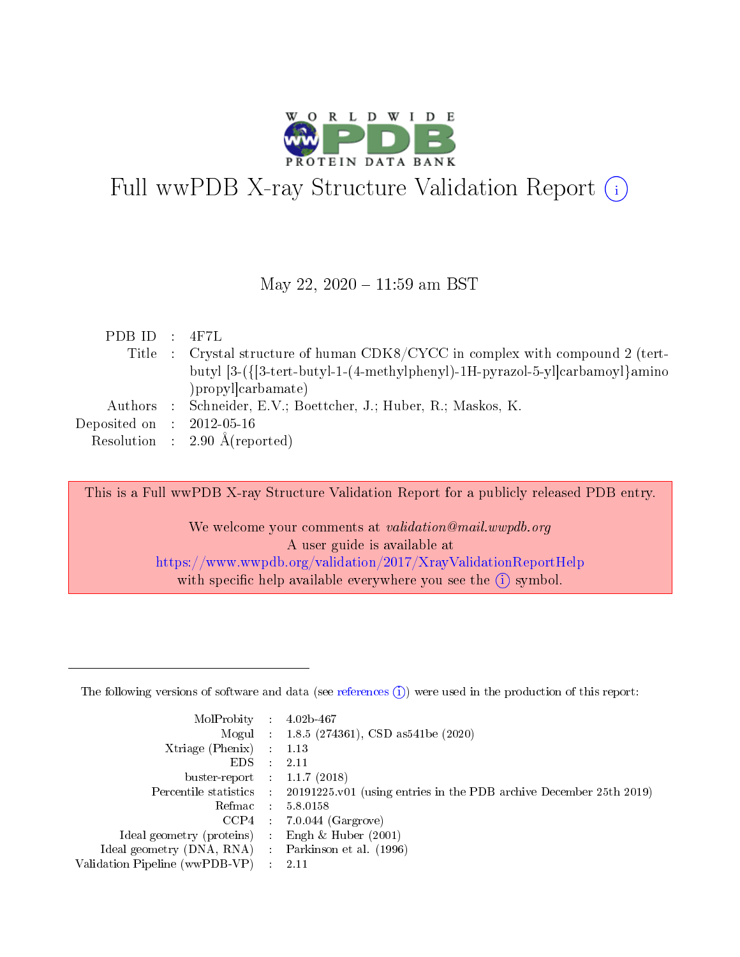

# Full wwPDB X-ray Structure Validation Report  $(i)$

#### May 22, 2020 - 11:59 am BST

| PDBID : 4F7L                   |                                                                                |
|--------------------------------|--------------------------------------------------------------------------------|
|                                | Title : Crystal structure of human CDK8/CYCC in complex with compound 2 (tert- |
|                                | butyl [3-({[3-tert-butyl-1-(4-methylphenyl)-1H-pyrazol-5-yl]carbamoyl}amino    |
|                                | )propylcarbamate)                                                              |
|                                | Authors : Schneider, E.V.; Boettcher, J.; Huber, R.; Maskos, K.                |
| Deposited on $\;$ : 2012-05-16 |                                                                                |
|                                | Resolution : $2.90 \text{ Å}$ (reported)                                       |

This is a Full wwPDB X-ray Structure Validation Report for a publicly released PDB entry. We welcome your comments at validation@mail.wwpdb.org A user guide is available at <https://www.wwpdb.org/validation/2017/XrayValidationReportHelp> with specific help available everywhere you see the  $(i)$  symbol.

The following versions of software and data (see [references](https://www.wwpdb.org/validation/2017/XrayValidationReportHelp#references)  $(1)$ ) were used in the production of this report:

| MolProbity :                   |               | $4.02b - 467$                                                               |
|--------------------------------|---------------|-----------------------------------------------------------------------------|
|                                |               | Mogul : $1.8.5$ (274361), CSD as 541be (2020)                               |
| Xtriage (Phenix)               | $\mathcal{L}$ | 1.13                                                                        |
| EDS.                           |               | 2.11                                                                        |
| buster-report : $1.1.7$ (2018) |               |                                                                             |
| Percentile statistics :        |               | $20191225 \text{v}01$ (using entries in the PDB archive December 25th 2019) |
| Refmac :                       |               | 5.8.0158                                                                    |
| CCP4                           |               | $7.0.044$ (Gargrove)                                                        |
| Ideal geometry (proteins) :    |               | Engh $\&$ Huber (2001)                                                      |
| Ideal geometry (DNA, RNA) :    |               | Parkinson et al. (1996)                                                     |
| Validation Pipeline (wwPDB-VP) | $\mathcal{L}$ | 2.11                                                                        |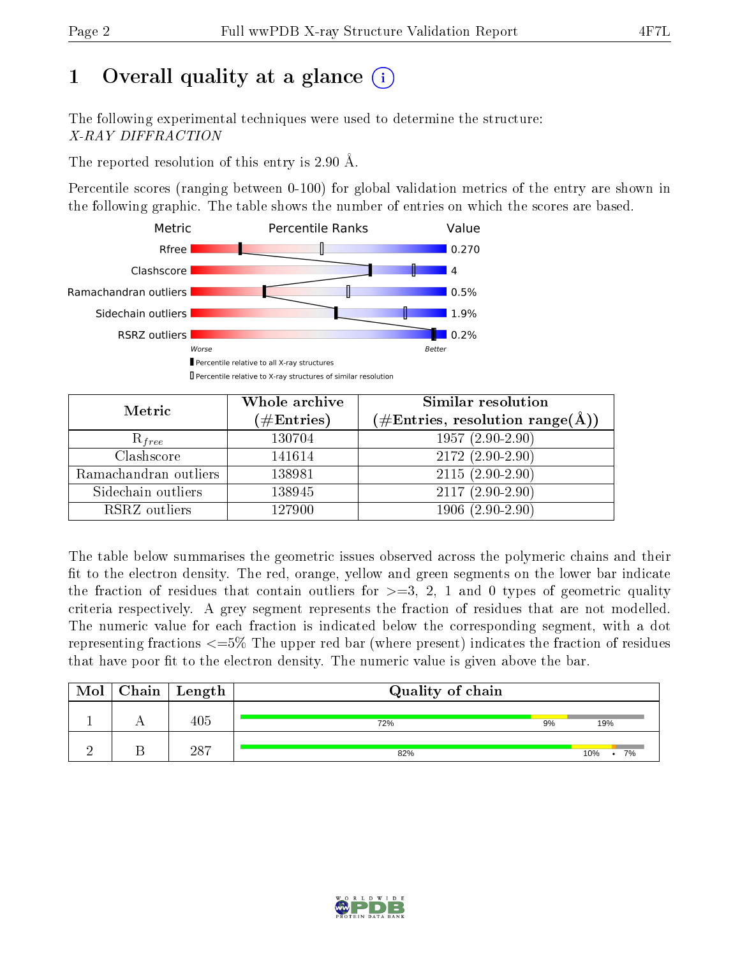# 1 [O](https://www.wwpdb.org/validation/2017/XrayValidationReportHelp#overall_quality)verall quality at a glance  $(i)$

The following experimental techniques were used to determine the structure: X-RAY DIFFRACTION

The reported resolution of this entry is 2.90 Å.

Percentile scores (ranging between 0-100) for global validation metrics of the entry are shown in the following graphic. The table shows the number of entries on which the scores are based.



| Metric                | Whole archive<br>$(\#\text{Entries})$ | <b>Similar resolution</b><br>$(\#\text{Entries},\,\text{resolution}\,\,\text{range}(\textup{\AA}))$ |
|-----------------------|---------------------------------------|-----------------------------------------------------------------------------------------------------|
| $R_{free}$            | 130704                                | $1957(2.90-2.90)$                                                                                   |
| Clashscore            | 141614                                | $2172(2.90-2.90)$                                                                                   |
| Ramachandran outliers | 138981                                | $2115(2.90-2.90)$                                                                                   |
| Sidechain outliers    | 138945                                | $2117(2.90-2.90)$                                                                                   |
| RSRZ outliers         | 127900                                | $1906(2.90-2.90)$                                                                                   |

The table below summarises the geometric issues observed across the polymeric chains and their fit to the electron density. The red, orange, yellow and green segments on the lower bar indicate the fraction of residues that contain outliers for  $>=3, 2, 1$  and 0 types of geometric quality criteria respectively. A grey segment represents the fraction of residues that are not modelled. The numeric value for each fraction is indicated below the corresponding segment, with a dot representing fractions  $\epsilon=5\%$  The upper red bar (where present) indicates the fraction of residues that have poor fit to the electron density. The numeric value is given above the bar.

| Mol      | ${\bf Chain \mid Length}$ | Quality of chain |           |  |  |  |
|----------|---------------------------|------------------|-----------|--|--|--|
|          | 405                       | 72%              | 9%<br>19% |  |  |  |
| $\Omega$ | 287                       | 82%              | 7%<br>10% |  |  |  |

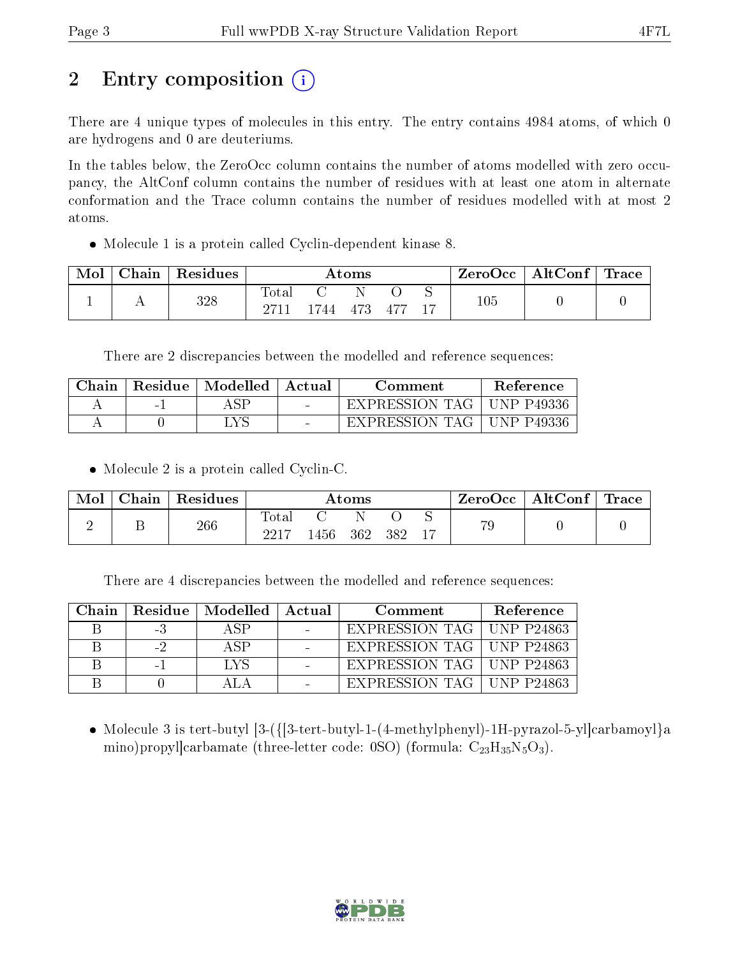# 2 Entry composition  $\left( \cdot \right)$

There are 4 unique types of molecules in this entry. The entry contains 4984 atoms, of which 0 are hydrogens and 0 are deuteriums.

In the tables below, the ZeroOcc column contains the number of atoms modelled with zero occupancy, the AltConf column contains the number of residues with at least one atom in alternate conformation and the Trace column contains the number of residues modelled with at most 2 atoms.

Molecule 1 is a protein called Cyclin-dependent kinase 8.

| Mol | Chain | Residues |       | $\rm{Atoms}$ |     | $\text{ZeroOcc} \mid \text{AltConf} \mid \text{Trace} \mid$ |  |
|-----|-------|----------|-------|--------------|-----|-------------------------------------------------------------|--|
|     |       | 328      | Totar | '44 473      | 477 | $105\,$                                                     |  |

There are 2 discrepancies between the modelled and reference sequences:

| Chain | Residue   Modelled | Actual | Comment        | <b>Reference</b> |
|-------|--------------------|--------|----------------|------------------|
|       |                    |        | EXPRESSION TAG | UNP P49336       |
|       | TVC                |        | EXPRESSION TAG | UNP P49336       |

• Molecule 2 is a protein called Cyclin-C.

| Mol | Chain | $\mathsf{Residues}$ |                     |      | $\rm{Atoms}$ |     | ZeroOcc | $\mid$ AltConf $\mid$ Trace |  |
|-----|-------|---------------------|---------------------|------|--------------|-----|---------|-----------------------------|--|
|     |       | 266                 | $\rm Total$<br>2217 | .456 | 362          | 382 | 79      |                             |  |

There are 4 discrepancies between the modelled and reference sequences:

| Chain |          | Residue   Modelled   Actual | Comment                     | Reference |
|-------|----------|-----------------------------|-----------------------------|-----------|
|       | - 5      |                             | EXPRESSION TAG   UNP P24863 |           |
|       | $-2$     | A SP                        | EXPRESSION TAG   UNP P24863 |           |
|       | $\sim$ 1 | LVS                         | EXPRESSION TAG   UNP P24863 |           |
|       |          |                             | EXPRESSION TAG   UNP P24863 |           |

 Molecule 3 is tert-butyl [3-({[3-tert-butyl-1-(4-methylphenyl)-1H-pyrazol-5-yl]carbamoyl}a mino)propyl]carbamate (three-letter code: 0SO) (formula:  $C_{23}H_{35}N_5O_3$ ).

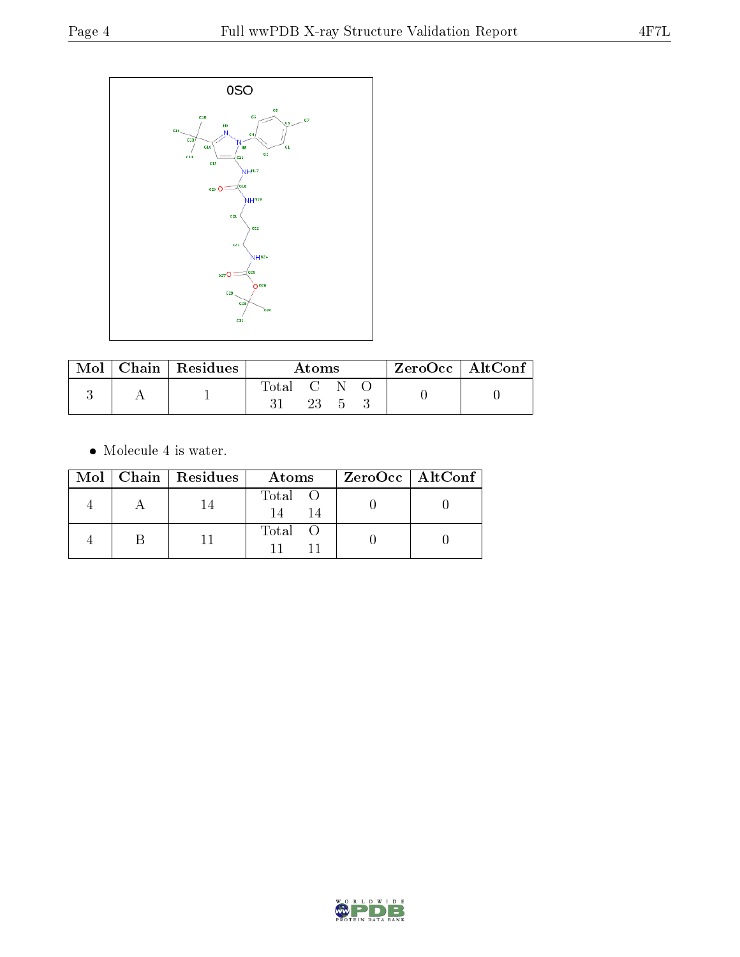

|  | $\sqrt{\text{Mol}}$ Chain   Residues $^+$ | Atoms       |        |  |  | ZeroOcc   AltConf |
|--|-------------------------------------------|-------------|--------|--|--|-------------------|
|  |                                           | Total C N O |        |  |  |                   |
|  |                                           |             | 23 5 5 |  |  |                   |

 $\bullet\,$  Molecule 4 is water.

|  | Mol   Chain   Residues | Atoms   | $ZeroOcc \   \$ AltConf |
|--|------------------------|---------|-------------------------|
|  |                        | Total O |                         |
|  |                        | Total   |                         |

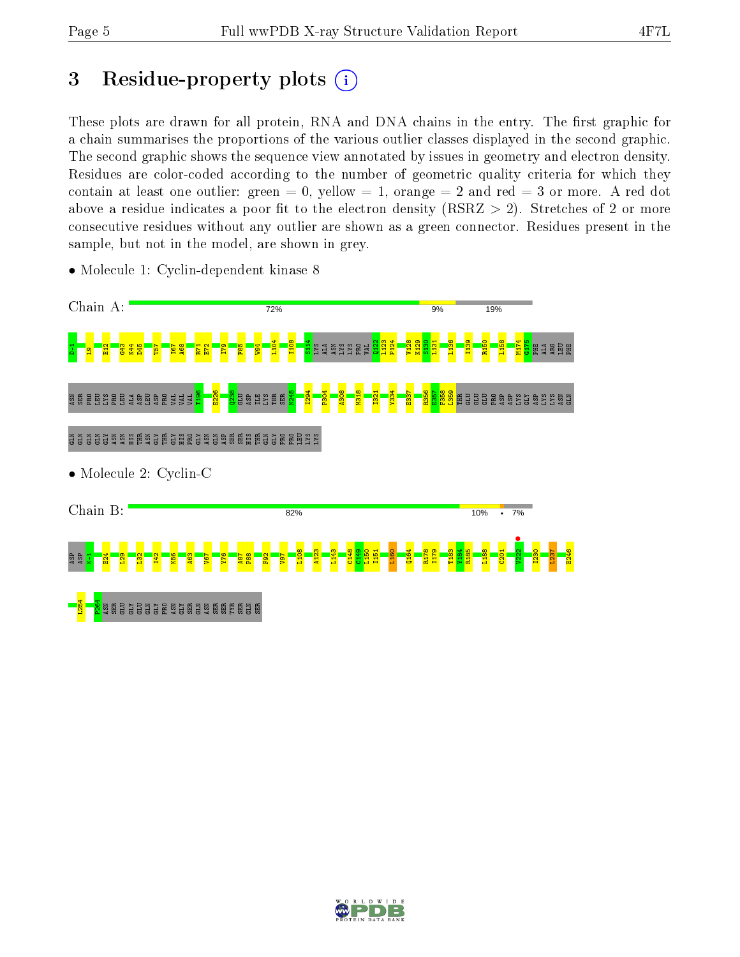# 3 Residue-property plots  $(i)$

These plots are drawn for all protein, RNA and DNA chains in the entry. The first graphic for a chain summarises the proportions of the various outlier classes displayed in the second graphic. The second graphic shows the sequence view annotated by issues in geometry and electron density. Residues are color-coded according to the number of geometric quality criteria for which they contain at least one outlier: green  $= 0$ , yellow  $= 1$ , orange  $= 2$  and red  $= 3$  or more. A red dot above a residue indicates a poor fit to the electron density (RSRZ  $> 2$ ). Stretches of 2 or more consecutive residues without any outlier are shown as a green connector. Residues present in the sample, but not in the model, are shown in grey.



• Molecule 1: Cyclin-dependent kinase 8

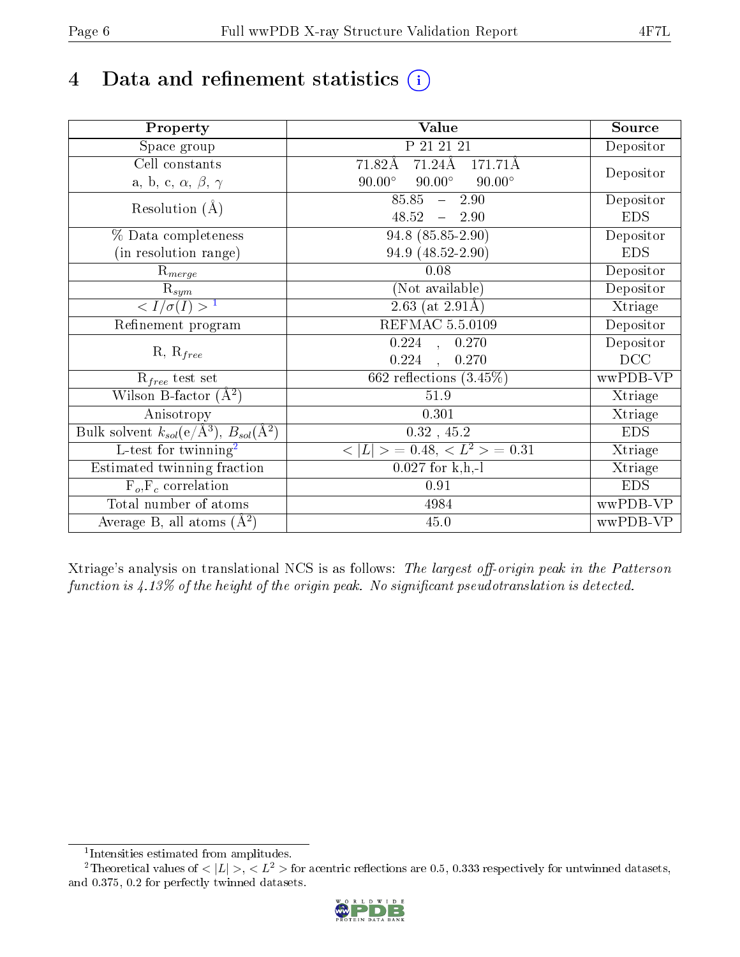# 4 Data and refinement statistics  $(i)$

| Property                                                             | Value                                           | Source     |
|----------------------------------------------------------------------|-------------------------------------------------|------------|
| Space group                                                          | P 21 21 21                                      | Depositor  |
| Cell constants                                                       | $71.24\text{\AA}$<br>71.82Å<br>171.71Å          |            |
| a, b, c, $\alpha$ , $\beta$ , $\gamma$                               | $90.00^\circ$<br>$90.00^\circ$<br>$90.00^\circ$ | Depositor  |
| Resolution $(A)$                                                     | 85.85<br>$-2.90$                                | Depositor  |
|                                                                      | 48.52<br>$-2.90$                                | <b>EDS</b> |
| % Data completeness                                                  | 94.8 (85.85-2.90)                               | Depositor  |
| (in resolution range)                                                | 94.9 (48.52-2.90)                               | <b>EDS</b> |
| $R_{merge}$                                                          | 0.08                                            | Depositor  |
| $\mathrm{R}_{sym}$                                                   | (Not available)                                 | Depositor  |
| $\sqrt{I/\sigma}(I) > 1$                                             | 2.63 (at $2.91\text{\AA}$ )                     | Xtriage    |
| Refinement program                                                   | REFMAC 5.5.0109                                 | Depositor  |
|                                                                      | $0.224$ , $0.270$                               | Depositor  |
| $R, R_{free}$                                                        | 0.224<br>0.270                                  | DCC        |
| $R_{free}$ test set                                                  | 662 reflections $(3.45\%)$                      | wwPDB-VP   |
| Wilson B-factor $(A^2)$                                              | 51.9                                            | Xtriage    |
| Anisotropy                                                           | 0.301                                           | Xtriage    |
| Bulk solvent $k_{sol}(e/\mathring{A}^3)$ , $B_{sol}(\mathring{A}^2)$ | $0.32$ , 45.2                                   | <b>EDS</b> |
| L-test for twinning <sup>2</sup>                                     | $\vert > \; = 0.48, \;  \; = 0.31$<br>< L       | Xtriage    |
| Estimated twinning fraction                                          | $0.027$ for k,h,-l                              | Xtriage    |
| $F_o, F_c$ correlation                                               | 0.91                                            | <b>EDS</b> |
| Total number of atoms                                                | 4984                                            | wwPDB-VP   |
| Average B, all atoms $(A^2)$                                         | 45.0                                            | wwPDB-VP   |

Xtriage's analysis on translational NCS is as follows: The largest off-origin peak in the Patterson function is  $4.13\%$  of the height of the origin peak. No significant pseudotranslation is detected.

<sup>&</sup>lt;sup>2</sup>Theoretical values of  $\langle |L| \rangle$ ,  $\langle L^2 \rangle$  for acentric reflections are 0.5, 0.333 respectively for untwinned datasets, and 0.375, 0.2 for perfectly twinned datasets.



<span id="page-5-1"></span><span id="page-5-0"></span><sup>1</sup> Intensities estimated from amplitudes.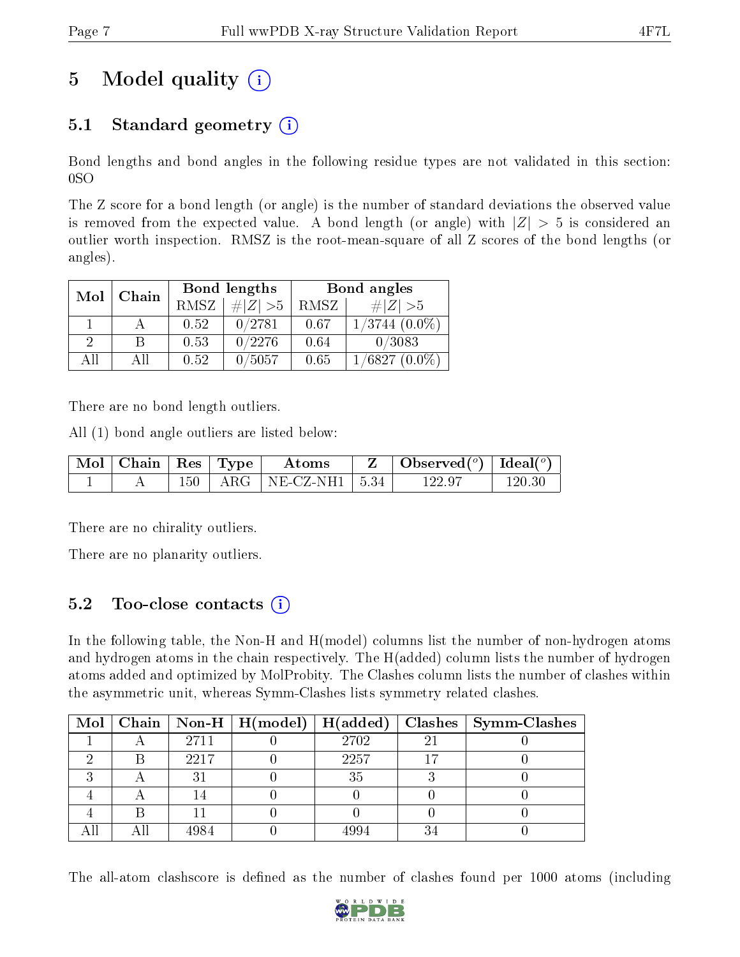# 5 Model quality  $(i)$

### 5.1 Standard geometry  $(i)$

Bond lengths and bond angles in the following residue types are not validated in this section: 0SO

The Z score for a bond length (or angle) is the number of standard deviations the observed value is removed from the expected value. A bond length (or angle) with  $|Z| > 5$  is considered an outlier worth inspection. RMSZ is the root-mean-square of all Z scores of the bond lengths (or angles).

| Mol | Chain |             | Bond lengths | Bond angles |                     |  |
|-----|-------|-------------|--------------|-------------|---------------------|--|
|     |       | <b>RMSZ</b> | $\ Z\  > 5$  | RMSZ        | # $ Z  > 5$         |  |
|     |       | 0.52        | 0/2781       | 0.67        | $1/3744$ $(0.0\%)$  |  |
| 2   | B     | 0.53        | 0/2276       | 0.64        | 0/3083              |  |
| AĦ  | АH    | 0.52        | 0/5057       | 0.65        | 1/6827<br>$(0.0\%)$ |  |

There are no bond length outliers.

All (1) bond angle outliers are listed below:

| $\vert$ Mol $\vert$ Chain $\vert$ Res $\vert$ Type $\vert$ |  | Atoms                          | $\vert$ Observed $(^\circ)$ $\vert$ Ideal $(^\circ)$ |            |
|------------------------------------------------------------|--|--------------------------------|------------------------------------------------------|------------|
|                                                            |  | $150$   ARG   NE-CZ-NH1   5.34 | 122.9′                                               | $120.30\,$ |

There are no chirality outliers.

There are no planarity outliers.

### 5.2 Too-close contacts (i)

In the following table, the Non-H and H(model) columns list the number of non-hydrogen atoms and hydrogen atoms in the chain respectively. The H(added) column lists the number of hydrogen atoms added and optimized by MolProbity. The Clashes column lists the number of clashes within the asymmetric unit, whereas Symm-Clashes lists symmetry related clashes.

|  |      |      | Mol   Chain   Non-H   H(model)   H(added)   Clashes   Symm-Clashes |
|--|------|------|--------------------------------------------------------------------|
|  | 2711 | 2702 |                                                                    |
|  | 2217 | 2257 |                                                                    |
|  |      | 35   |                                                                    |
|  |      |      |                                                                    |
|  |      |      |                                                                    |
|  | 1984 |      |                                                                    |

The all-atom clashscore is defined as the number of clashes found per 1000 atoms (including

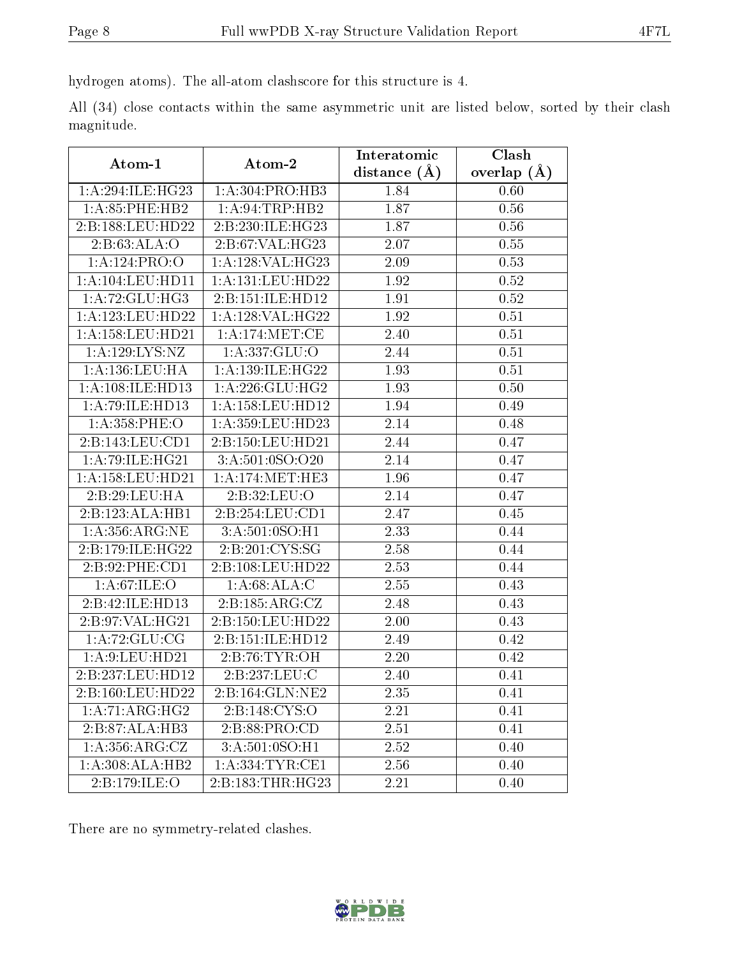hydrogen atoms). The all-atom clashscore for this structure is 4.

All (34) close contacts within the same asymmetric unit are listed below, sorted by their clash magnitude.

|                             |                             | Interatomic       | Clash         |  |
|-----------------------------|-----------------------------|-------------------|---------------|--|
| Atom-1                      | Atom-2                      | distance $(A)$    | overlap $(A)$ |  |
| 1:A:294:ILE:HG23            | 1:A:304:PRO:HB3             | 1.84              | 0.60          |  |
| 1: A:85:PHE:HB2             | 1:A:94:TRP:HB2              | 1.87              | 0.56          |  |
| 2:B:188:LEU:HD22            | 2:B:230:ILE:HG23            | 1.87              | 0.56          |  |
| 2: B:63:ALA:O               | 2: B:67: VAL:HG23           | $2.\overline{07}$ | 0.55          |  |
| 1:A:124:PRO:O               | 1: A:128: VAL:HG23          | 2.09              | 0.53          |  |
| 1:A:104:LEU:HD11            | 1:A:131:LEU:HD22            | 1.92              | 0.52          |  |
| 1:A:72:GLU:HG3              | 2:B:151:ILE:HD12            | 1.91              | 0.52          |  |
| 1:A:123:LEU:HD22            | 1:A:128:VAL:HG22            | 1.92              | 0.51          |  |
| $1:$ A:158:LEU:HD21         | 1: A:174:MET:CE             | 2.40              | 0.51          |  |
| 1: A: 129: LYS: NZ          | 1:A:337:GLU:O               | 2.44              | 0.51          |  |
| 1: A: 136: LEU: HA          | 1: A: 139: ILE: HG22        | 1.93              | 0.51          |  |
| 1:A:108:ILE:HD13            | 1: A:226: GLU: HG2          | 1.93              | 0.50          |  |
| 1:A:79:ILE:HD13             | 1: A: 158: LEU: HD12        | 1.94              | 0.49          |  |
| 1:A:358:PHE:O               | 1:A:359:LEU:HD23            | 2.14              | 0.48          |  |
| 2:B:143:LEU:CD1             | 2:B:150:LEU:HD21            | 2.44              | 0.47          |  |
| 1:A:79:ILE:H <sub>G21</sub> | 3:A:501:0SO:O20             | 2.14              | 0.47          |  |
| $1: A: 158:$ LEU:HD21       | 1: A: 174: MET: HE3         | 1.96              | 0.47          |  |
| 2:B:29:LEU:HA               | 2:B:32:LEU:O                | 2.14              | 0.47          |  |
| 2:B:123:ALA:HB1             | 2:B:254:LEU:CD1             | 2.47              | 0.45          |  |
| 1: A: 356: ARG: NE          | 3: A:501:0SO:H1             | 2.33              | 0.44          |  |
| 2:B:179:ILE:HG22            | 2:B:201:CYS:SG              | 2.58              | 0.44          |  |
| 2:B:92:PHE:CD1              | 2:B:108:LEU:HD22            | 2.53              | 0.44          |  |
| 1: A:67: ILE: O             | 1:A:68:ALA:C                | 2.55              | 0.43          |  |
| 2:B:42:ILE:HD13             | 2: B: 185: ARG: CZ          | 2.48              | 0.43          |  |
| 2:B:97:VAL:HG21             | 2:B:150:LEU:HD22            | 2.00              | 0.43          |  |
| 1: A:72: GLU:CG             | 2:B:151:ILE:HD12            | 2.49              | 0.42          |  |
| 1: A:9: LEU: HD21           | 2:B:76:TYR:OH               | 2.20              | 0.42          |  |
| 2:B:237:LEU:HD12            | 2:B:237:LEU:C               | 2.40              | 0.41          |  |
| 2:B:160:LEU:HD22            | 2:B:164:GLN:NE2             | 2.35              | 0.41          |  |
| 1:A:71:ARG:HG2              | 2:B:148:CYS:O               | 2.21              | 0.41          |  |
| 2:B:87:ALA:HB3              | $2: B:88: \overline{PRO:C}$ | 2.51              | 0.41          |  |
| 1: A: 356: ARG: CZ          | 3:A:501:0SO:H1              | 2.52              | 0.40          |  |
| 1:A:308:ALA:HB2             | 1: A: 334: TYR: CE1         | 2.56              | 0.40          |  |
| 2:B:179:ILE:O               | 2:B:183:THR:HG23            | 2.21              | 0.40          |  |

There are no symmetry-related clashes.

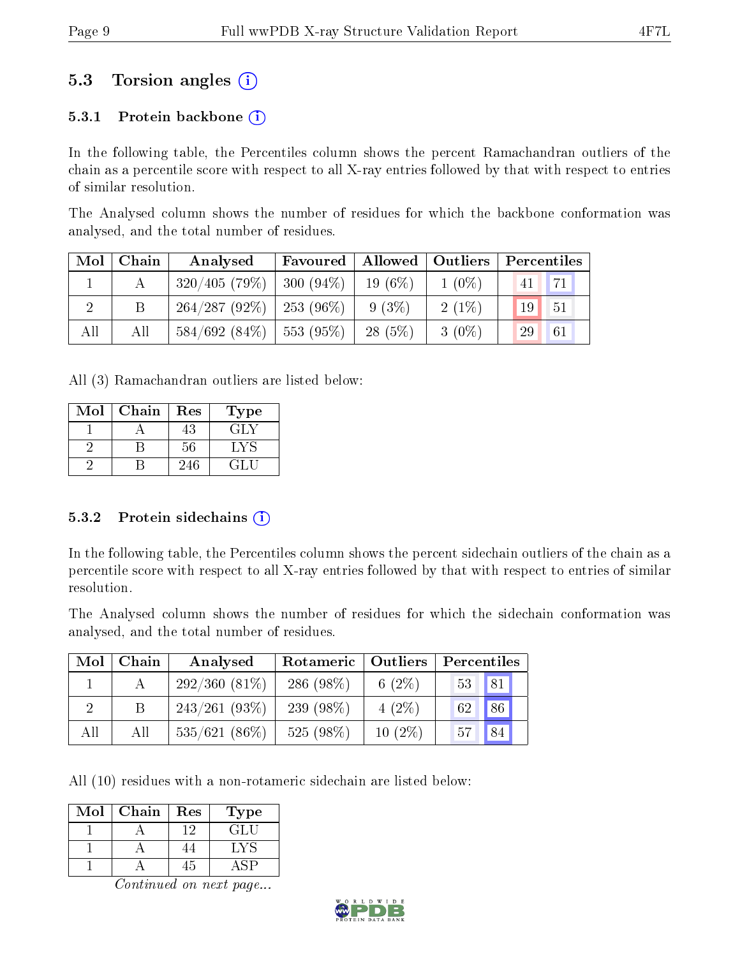### 5.3 Torsion angles (i)

#### 5.3.1 Protein backbone  $(i)$

In the following table, the Percentiles column shows the percent Ramachandran outliers of the chain as a percentile score with respect to all X-ray entries followed by that with respect to entries of similar resolution.

The Analysed column shows the number of residues for which the backbone conformation was analysed, and the total number of residues.

| Mol | Chain | Analysed                      | Favoured     | Allowed   | $\vert$ Outliers | Percentiles |    |
|-----|-------|-------------------------------|--------------|-----------|------------------|-------------|----|
|     |       | 320/405(79%)                  | $ 300(94\%)$ | $19(6\%)$ | $1(0\%)$         | 41          | 71 |
|     |       | $264/287 (92\%)$   253 (96\%) |              | $9(3\%)$  | $2(1\%)$         | 19          | 51 |
| All | All   | 584/692(84%)                  | $ 553(95\%)$ | $28(5\%)$ | $3(0\%)$         | 29          | 61 |

All (3) Ramachandran outliers are listed below:

| Mol | Chain | Res | Type  |
|-----|-------|-----|-------|
|     |       | 43  | 14 I. |
|     |       | 56  | . .V  |
|     |       | 246 |       |

#### 5.3.2 Protein sidechains  $(i)$

In the following table, the Percentiles column shows the percent sidechain outliers of the chain as a percentile score with respect to all X-ray entries followed by that with respect to entries of similar resolution.

The Analysed column shows the number of residues for which the sidechain conformation was analysed, and the total number of residues.

| Mol | ${\bf Chain}$ | Analysed        | Rotameric    | Outliers  | Percentiles |
|-----|---------------|-----------------|--------------|-----------|-------------|
|     |               | $292/360(81\%)$ | 286 $(98\%)$ | 6 $(2\%)$ | 81<br>53    |
| 9   |               | $243/261(93\%)$ | 239 (98\%)   | $4(2\%)$  | 86<br>62    |
| All | All           | $535/621(86\%)$ | $525(98\%)$  | $10(2\%)$ | 84<br>57    |

All (10) residues with a non-rotameric sidechain are listed below:

| Mol | Chain | Res | Гуре             |
|-----|-------|-----|------------------|
|     |       |     | GLU <sup>-</sup> |
|     |       |     |                  |
|     |       | r,  |                  |

Continued on next page...

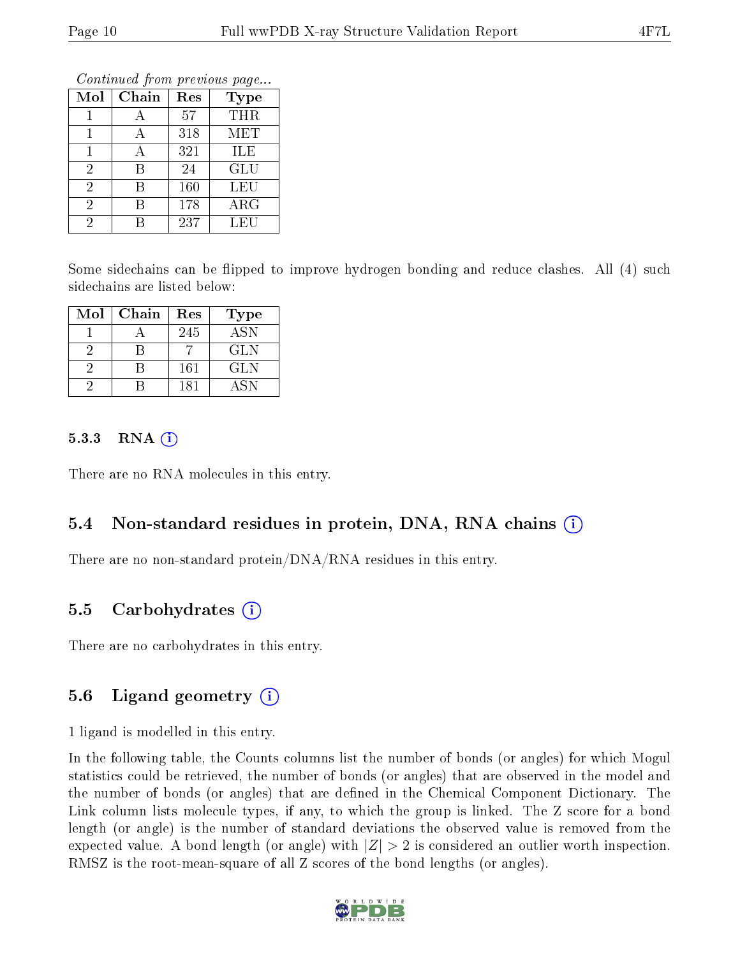Continued from previous page...

| Mol            | Chain | Res | <b>Type</b> |
|----------------|-------|-----|-------------|
|                |       | 57  | THR         |
|                |       | 318 | MET         |
|                |       | 321 | ILE         |
| $\overline{2}$ | R     | 24  | GLU         |
| $\overline{2}$ | R     | 160 | LEU         |
| 2              | R     | 178 | $\rm{ARG}$  |
|                |       | 237 | LEU         |

Some sidechains can be flipped to improve hydrogen bonding and reduce clashes. All (4) such sidechains are listed below:

| Mol | Chain | Res | Type       |
|-----|-------|-----|------------|
|     |       | 245 | <b>ASN</b> |
|     |       |     | <b>GLN</b> |
|     |       | 161 | <b>GLN</b> |
|     |       | 181 | A SN       |

#### $5.3.3$  RNA  $(i)$

There are no RNA molecules in this entry.

### 5.4 Non-standard residues in protein, DNA, RNA chains (i)

There are no non-standard protein/DNA/RNA residues in this entry.

### 5.5 Carbohydrates  $(i)$

There are no carbohydrates in this entry.

#### 5.6 Ligand geometry  $(i)$

1 ligand is modelled in this entry.

In the following table, the Counts columns list the number of bonds (or angles) for which Mogul statistics could be retrieved, the number of bonds (or angles) that are observed in the model and the number of bonds (or angles) that are dened in the Chemical Component Dictionary. The Link column lists molecule types, if any, to which the group is linked. The Z score for a bond length (or angle) is the number of standard deviations the observed value is removed from the expected value. A bond length (or angle) with  $|Z| > 2$  is considered an outlier worth inspection. RMSZ is the root-mean-square of all Z scores of the bond lengths (or angles).

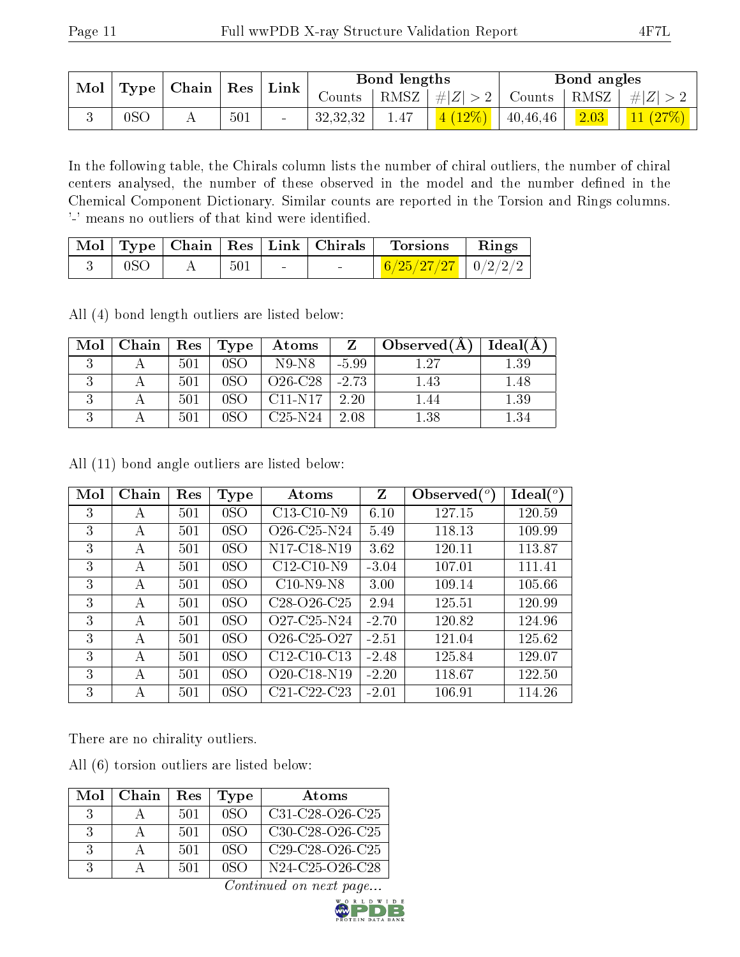|                 | $\mid$ Mol $\mid$ Type $\mid$ Chain $\mid$ |     | $\mid {\rm Res} \mid {\rm Link}$ |          | Bond lengths |                                                       |                          | Bond angles        |                  |
|-----------------|--------------------------------------------|-----|----------------------------------|----------|--------------|-------------------------------------------------------|--------------------------|--------------------|------------------|
|                 |                                            |     |                                  | Counts - |              | RMSZ $\mid \#  Z  > 2$   Counts   RMSZ   $\#  Z  > 2$ |                          |                    |                  |
| 0S <sub>C</sub> |                                            | 501 | $\sim$                           | 32,32,32 | 1.47         | $\vert 4 \ (12\%) \ \vert$                            | $\vert$ 40.46.46 $\vert$ | $\frac{1}{2.03}$ 1 | $\vert$ 11 (27%) |

In the following table, the Chirals column lists the number of chiral outliers, the number of chiral centers analysed, the number of these observed in the model and the number defined in the Chemical Component Dictionary. Similar counts are reported in the Torsion and Rings columns. '-' means no outliers of that kind were identified.

|                 |       |                   | $\mid$ Mol $\mid$ Type $\mid$ Chain $\mid$ Res $\mid$ Link $\mid$ Chirals $\mid$ Torsions | $\parallel$ Rings |
|-----------------|-------|-------------------|-------------------------------------------------------------------------------------------|-------------------|
| 0 <sub>SO</sub> | - 501 | $\sim$ 100 $\sim$ | $6/25/27/27$   $0/2/2/2$                                                                  |                   |

All (4) bond length outliers are listed below:

| Mol | $Chain$ | $\parallel$ Res | Type | Atoms     |         | Observed $(A)$ | Ideal(A) |
|-----|---------|-----------------|------|-----------|---------|----------------|----------|
|     |         | 501             | 0SO  | N9-N8     | $-5.99$ | 1 27           | $1.39\,$ |
|     |         | 501             |      | $O26-C28$ | $-2.73$ | 1.43           | 1.48     |
|     |         | 501             |      | $C11-N17$ | 2.20    | .44            | $1.39\,$ |
|     |         | 501             |      | $C25-N24$ | 2.08    | $1.38\,$       | ∣.34     |

All (11) bond angle outliers are listed below:

| Mol | Chain        | Res | <b>Type</b>    | Atoms                                             | Z       | Observed $(°)$ | $\text{Ideal}(\textsuperscript{o})$ |
|-----|--------------|-----|----------------|---------------------------------------------------|---------|----------------|-------------------------------------|
| 3   | A            | 501 | 0 <sub>S</sub> | C13-C10-N9                                        | 6.10    | 127.15         | 120.59                              |
| 3   | A            | 501 | 0 <sub>S</sub> | $O26$ -C <sub>25</sub> -N <sub>24</sub>           | 5.49    | 118.13         | 109.99                              |
| 3   | A            | 501 | 0 <sub>S</sub> | N <sub>17</sub> -C <sub>18</sub> -N <sub>19</sub> | 3.62    | 120.11         | 113.87                              |
| 3   | $\mathsf{A}$ | 501 | 0 <sub>S</sub> | $C12-C10-N9$                                      | $-3.04$ | 107.01         | 111.41                              |
| 3   | А            | 501 | 0 <sub>S</sub> | $C10-N9-N8$                                       | 3.00    | 109.14         | 105.66                              |
| 3   | А            | 501 | 0 <sub>S</sub> | $C28-O26-C25$                                     | 2.94    | 125.51         | 120.99                              |
| 3   | А            | 501 | 0 <sub>S</sub> | Q <sub>27</sub> -C <sub>25</sub> -N <sub>24</sub> | $-2.70$ | 120.82         | 124.96                              |
| 3   | А            | 501 | 0 <sub>S</sub> | $O26 - C25 - O27$                                 | $-2.51$ | 121.04         | 125.62                              |
| 3   | А            | 501 | 0 <sub>S</sub> | $C12-C10-C13$                                     | $-2.48$ | 125.84         | 129.07                              |
| 3   | A            | 501 | 0 <sub>S</sub> | O <sub>20</sub> -C <sub>18</sub> -N <sub>19</sub> | $-2.20$ | 118.67         | 122.50                              |
| 3   | A            | 501 | 0 <sub>S</sub> | C21-C22-C23                                       | $-2.01$ | 106.91         | 114.26                              |

There are no chirality outliers.

All (6) torsion outliers are listed below:

| Mol                         | Chain | Res | Type            | Atoms             |
|-----------------------------|-------|-----|-----------------|-------------------|
| $\mathcal{S}_{\mathcal{S}}$ |       | 501 | 0SO             | $C31-C28-C26-C25$ |
| $\mathcal{R}$               |       | 501 | 0SO             | $C30-C28-C26-C25$ |
| $\mathcal{R}$               |       | 501 | 0S <sub>O</sub> | $C29-C28-C26-C25$ |
| $\mathcal{R}$               |       | 501 | 0SO             | N24-C25-O26-C28   |

Continued on next page...

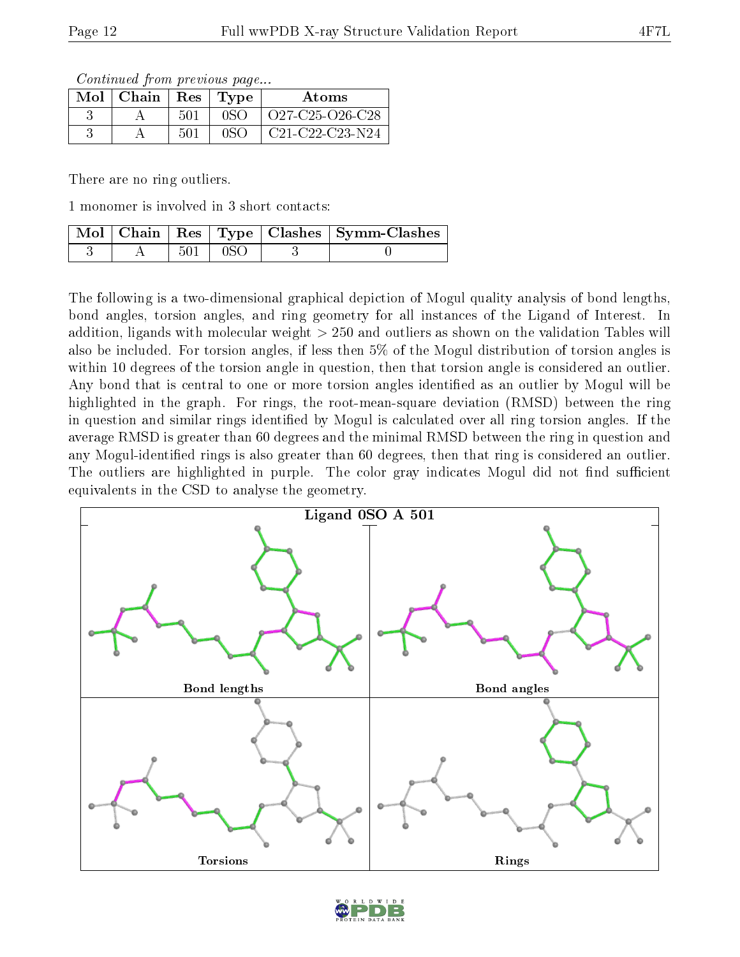Continued from previous page...

| $Mol$   Chain | Res | Type | Atoms                                                              |
|---------------|-----|------|--------------------------------------------------------------------|
|               | 501 | nso  | $O27-C25-O26-C28$                                                  |
|               | 501 |      | C <sub>21</sub> -C <sub>22</sub> -C <sub>23</sub> -N <sub>24</sub> |

There are no ring outliers.

1 monomer is involved in 3 short contacts:

|  |              | Mol   Chain   Res   Type   Clashes   Symm-Clashes |
|--|--------------|---------------------------------------------------|
|  | $501 \pm 0S$ |                                                   |

The following is a two-dimensional graphical depiction of Mogul quality analysis of bond lengths, bond angles, torsion angles, and ring geometry for all instances of the Ligand of Interest. In addition, ligands with molecular weight > 250 and outliers as shown on the validation Tables will also be included. For torsion angles, if less then 5% of the Mogul distribution of torsion angles is within 10 degrees of the torsion angle in question, then that torsion angle is considered an outlier. Any bond that is central to one or more torsion angles identified as an outlier by Mogul will be highlighted in the graph. For rings, the root-mean-square deviation (RMSD) between the ring in question and similar rings identified by Mogul is calculated over all ring torsion angles. If the average RMSD is greater than 60 degrees and the minimal RMSD between the ring in question and any Mogul-identified rings is also greater than 60 degrees, then that ring is considered an outlier. The outliers are highlighted in purple. The color gray indicates Mogul did not find sufficient equivalents in the CSD to analyse the geometry.



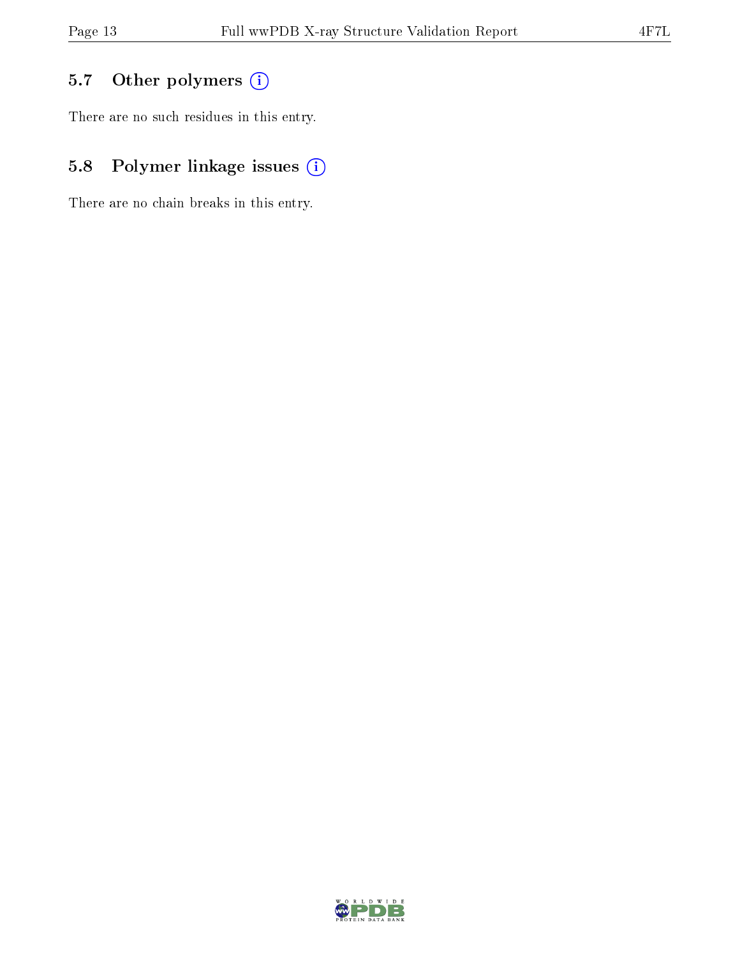## 5.7 [O](https://www.wwpdb.org/validation/2017/XrayValidationReportHelp#nonstandard_residues_and_ligands)ther polymers (i)

There are no such residues in this entry.

## 5.8 Polymer linkage issues (i)

There are no chain breaks in this entry.

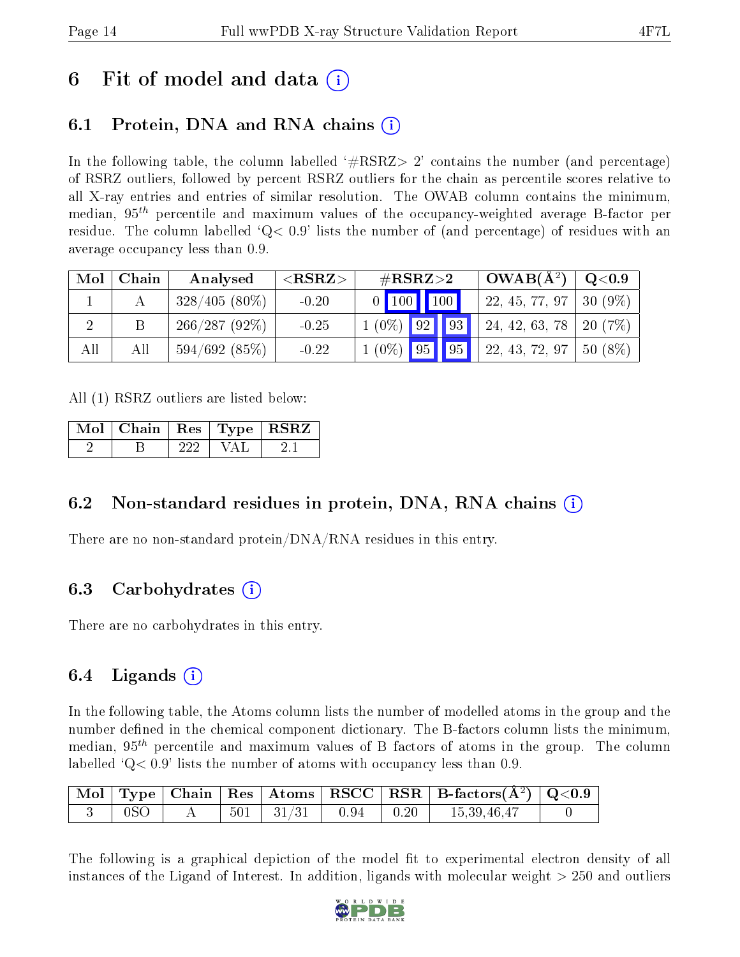## 6 Fit of model and data  $\left( \cdot \right)$

## 6.1 Protein, DNA and RNA chains (i)

In the following table, the column labelled  $#RSRZ>2'$  contains the number (and percentage) of RSRZ outliers, followed by percent RSRZ outliers for the chain as percentile scores relative to all X-ray entries and entries of similar resolution. The OWAB column contains the minimum, median,  $95<sup>th</sup>$  percentile and maximum values of the occupancy-weighted average B-factor per residue. The column labelled  $Q < 0.9$  lists the number of (and percentage) of residues with an average occupancy less than 0.9.

| Mol | Chain | Analysed        | ${ <\hspace{-1.5pt}{\mathrm{RSRZ}} \hspace{-1.5pt}>}$ | $\#\text{RSRZ}\text{>2}$ | $OWAB(A^2)$    | Q <sub>0.9</sub> |
|-----|-------|-----------------|-------------------------------------------------------|--------------------------|----------------|------------------|
|     |       | $328/405(80\%)$ | $-0.20$                                               | 0   100   100            | 22, 45, 77, 97 | $130(9\%)$ .     |
|     |       | $266/287(92\%)$ | $-0.25$                                               | 93 <br>$1(0\%)$ 92       | 24, 42, 63, 78 | $-20(7%)$        |
| All | All   | 594/692(85%)    | $-0.22$                                               | $1(0\%)$ 95 95           | 22, 43, 72, 97 | 50 (8%)          |

All (1) RSRZ outliers are listed below:

|  |  | Mol   Chain   Res   Type   RSRZ |
|--|--|---------------------------------|
|  |  |                                 |

### 6.2 Non-standard residues in protein, DNA, RNA chains (i)

There are no non-standard protein/DNA/RNA residues in this entry.

### 6.3 Carbohydrates (i)

There are no carbohydrates in this entry.

### 6.4 Ligands  $(i)$

In the following table, the Atoms column lists the number of modelled atoms in the group and the number defined in the chemical component dictionary. The B-factors column lists the minimum, median,  $95<sup>th</sup>$  percentile and maximum values of B factors of atoms in the group. The column labelled  $Q< 0.9$ ' lists the number of atoms with occupancy less than 0.9.

|  |  |  | $\mid$ Mol $\mid$ Type $\mid$ Chain $\mid$ Res $\mid$ Atoms $\mid$ RSCC $\mid$ RSR $\mid$ B-factors(A <sup>2</sup> ) $\mid$ Q<0.9 |  |
|--|--|--|-----------------------------------------------------------------------------------------------------------------------------------|--|
|  |  |  | $\begin{array}{ c c c c c c c c c c c } \hline 501 & 31/31 & 0.94 & 0.20 & 15,39,46,47 \hline \end{array}$                        |  |

The following is a graphical depiction of the model fit to experimental electron density of all instances of the Ligand of Interest. In addition, ligands with molecular weight  $> 250$  and outliers